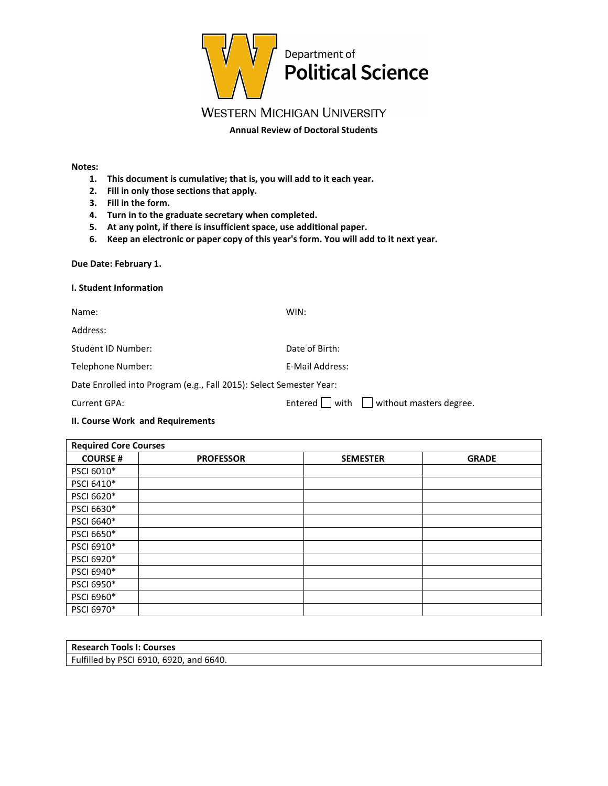

# **WESTERN MICHIGAN UNIVERSITY**

**Annual Review of Doctoral Students** 

#### **Notes:**

- **1. This document is cumulative; that is, you will add to it each year.**
- **2. Fill in only those sections that apply.**
- **3. Fill in the form.**
- **4. Turn in to the graduate secretary when completed.**
- **5. At any point, if there is insufficient space, use additional paper.**
- **6. Keep an electronic or paper copy of this year's form. You will add to it next year.**

#### **Due Date: February 1.**

#### **I. Student Information**

| Name:                                                               | WIN:            |  |
|---------------------------------------------------------------------|-----------------|--|
| Address:                                                            |                 |  |
| Student ID Number:                                                  | Date of Birth:  |  |
| Telephone Number:                                                   | E-Mail Address: |  |
| Date Enrolled into Program (e.g., Fall 2015): Select Semester Year: |                 |  |

Current GPA:  $\Box$  Entered  $\Box$  with  $\Box$  without masters degree.

### **II. Course Work and Requirements**

| <b>Required Core Courses</b> |                  |                 |              |
|------------------------------|------------------|-----------------|--------------|
| <b>COURSE#</b>               | <b>PROFESSOR</b> | <b>SEMESTER</b> | <b>GRADE</b> |
| PSCI 6010*                   |                  |                 |              |
| PSCI 6410*                   |                  |                 |              |
| PSCI 6620*                   |                  |                 |              |
| PSCI 6630*                   |                  |                 |              |
| PSCI 6640*                   |                  |                 |              |
| PSCI 6650*                   |                  |                 |              |
| PSCI 6910*                   |                  |                 |              |
| PSCI 6920*                   |                  |                 |              |
| PSCI 6940*                   |                  |                 |              |
| PSCI 6950*                   |                  |                 |              |
| PSCI 6960*                   |                  |                 |              |
| PSCI 6970*                   |                  |                 |              |

| <b>Research Tools I: Courses</b>        |  |
|-----------------------------------------|--|
| Fulfilled by PSCI 6910, 6920, and 6640. |  |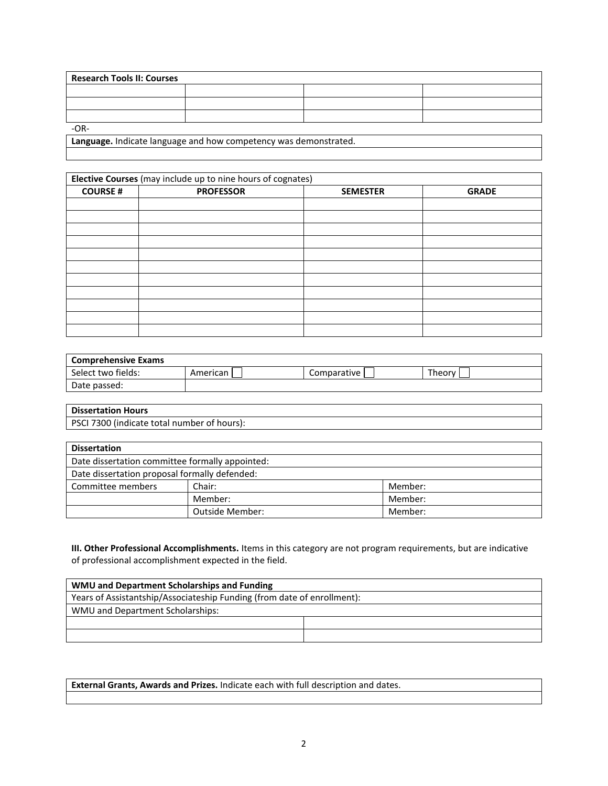| <b>Research Tools II: Courses</b> |  |  |  |
|-----------------------------------|--|--|--|
|                                   |  |  |  |
|                                   |  |  |  |
|                                   |  |  |  |
| $-OR-$                            |  |  |  |

**Language.** Indicate language and how competency was demonstrated.

| Elective Courses (may include up to nine hours of cognates) |                  |                 |              |
|-------------------------------------------------------------|------------------|-----------------|--------------|
| <b>COURSE#</b>                                              | <b>PROFESSOR</b> | <b>SEMESTER</b> | <b>GRADE</b> |
|                                                             |                  |                 |              |
|                                                             |                  |                 |              |
|                                                             |                  |                 |              |
|                                                             |                  |                 |              |
|                                                             |                  |                 |              |
|                                                             |                  |                 |              |
|                                                             |                  |                 |              |
|                                                             |                  |                 |              |
|                                                             |                  |                 |              |
|                                                             |                  |                 |              |
|                                                             |                  |                 |              |

| <b>Comprehensive Exams</b> |          |              |         |
|----------------------------|----------|--------------|---------|
| Select two fields:         | American | Comparative, | Theory, |
| Date passed:               |          |              |         |

| <b>Dissertation Hours</b>                   |
|---------------------------------------------|
| PSCI 7300 (indicate total number of hours): |

| <b>Dissertation</b>                             |                 |         |
|-------------------------------------------------|-----------------|---------|
| Date dissertation committee formally appointed: |                 |         |
| Date dissertation proposal formally defended:   |                 |         |
| Committee members                               | Chair:          | Member: |
|                                                 | Member:         | Member: |
|                                                 | Outside Member: | Member: |

**III. Other Professional Accomplishments.** Items in this category are not program requirements, but are indicative of professional accomplishment expected in the field.

| WMU and Department Scholarships and Funding                             |  |  |
|-------------------------------------------------------------------------|--|--|
| Years of Assistantship/Associateship Funding (from date of enrollment): |  |  |
| WMU and Department Scholarships:                                        |  |  |
|                                                                         |  |  |
|                                                                         |  |  |

**External Grants, Awards and Prizes.** Indicate each with full description and dates.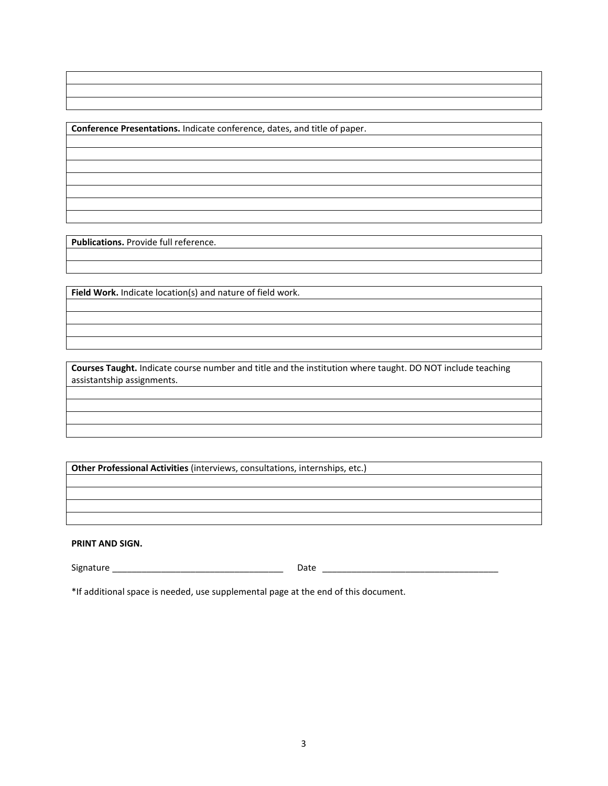**Conference Presentations.** Indicate conference, dates, and title of paper.

**Publications.** Provide full reference.

**Field Work.** Indicate location(s) and nature of field work.

**Courses Taught.** Indicate course number and title and the institution where taught. DO NOT include teaching assistantship assignments.

**Other Professional Activities** (interviews, consultations, internships, etc.)

**PRINT AND SIGN.**

Signature \_\_\_\_\_\_\_\_\_\_\_\_\_\_\_\_\_\_\_\_\_\_\_\_\_\_\_\_\_\_\_\_\_\_\_ Date \_\_\_\_\_\_\_\_\_\_\_\_\_\_\_\_\_\_\_\_\_\_\_\_\_\_\_\_\_\_\_\_\_\_\_\_

\*If additional space is needed, use supplemental page at the end of this document.